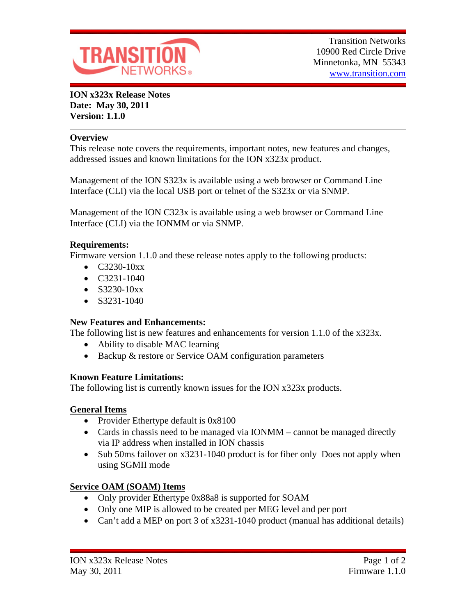

**ION x323x Release Notes Date: May 30, 2011 Version: 1.1.0**

#### **Overview**

This release note covers the requirements, important notes, new features and changes, addressed issues and known limitations for the ION x323x product.

Management of the ION S323x is available using a web browser or Command Line Interface (CLI) via the local USB port or telnet of the S323x or via SNMP.

Management of the ION C323x is available using a web browser or Command Line Interface (CLI) via the IONMM or via SNMP.

## **Requirements:**

Firmware version 1.1.0 and these release notes apply to the following products:

- $\bullet$  C3230-10xx
- $\bullet$  C3231-1040
- $\bullet$  S3230-10xx
- $\bullet$  S3231-1040

## **New Features and Enhancements:**

The following list is new features and enhancements for version 1.1.0 of the x323x.

- Ability to disable MAC learning
- Backup & restore or Service OAM configuration parameters

## **Known Feature Limitations:**

The following list is currently known issues for the ION x323x products.

## **General Items**

- Provider Ethertype default is 0x8100
- Cards in chassis need to be managed via IONMM cannot be managed directly via IP address when installed in ION chassis
- Sub 50ms failover on x3231-1040 product is for fiber only Does not apply when using SGMII mode

# **Service OAM (SOAM) Items**

- Only provider Ethertype 0x88a8 is supported for SOAM
- Only one MIP is allowed to be created per MEG level and per port
- Can't add a MEP on port 3 of x3231-1040 product (manual has additional details)